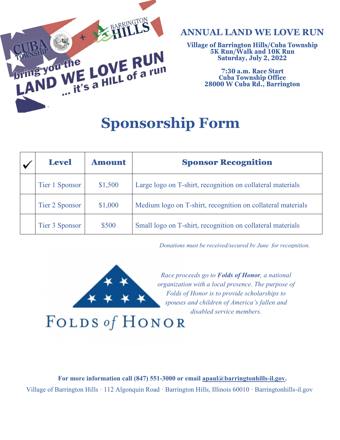

## **ANNUAL LAND WE LOVE RUN**

**Village of Barrington Hills/Cuba Township 5K Run/Walk and 10K Run Saturday, July 2, 2022**

> **7:30 a.m. Race Start 28000 W Cuba Rd., Barrington**

## **Sponsorship Form**

| <b>Level</b>   | <b>Amount</b> | <b>Sponsor Recognition</b>                                  |
|----------------|---------------|-------------------------------------------------------------|
| Tier 1 Sponsor | \$1,500       | Large logo on T-shirt, recognition on collateral materials  |
| Tier 2 Sponsor | \$1,000       | Medium logo on T-shirt, recognition on collateral materials |
| Tier 3 Sponsor | \$500         | Small logo on T-shirt, recognition on collateral materials  |

*Donations must be received/secured by June for recognition.*



*Race proceeds go to Folds of Honor, a national organization with a local presence. The purpose of Folds of Honor is to provide scholarships to spouses and children of America's fallen and disabled service members.* 

FOLDS of HONOR

For more information call (847) 551-3000 or email [apaul@barringtonhills-il.gov.](mailto:apaul@barringtonhills-il.gov) Village of Barrington Hills · 112 Algonquin Road · Barrington Hills, Illinois 60010 · Barringtonhills-il.gov